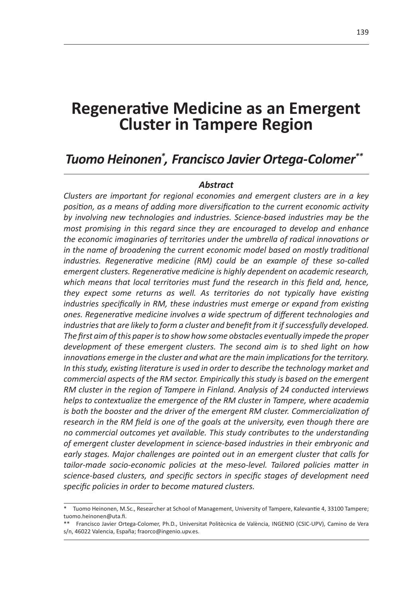# **Regenerative Medicine as an Emergent Cluster in Tampere Region**

# *Tuomo Heinonen\* , Francisco Javier Ortega-Colomer\*\*2*

#### *Abstract*

*Clusters are important for regional economies and emergent clusters are in a key position, as a means of adding more diversification to the current economic activity by involving new technologies and industries. Science-based industries may be the most promising in this regard since they are encouraged to develop and enhance the economic imaginaries of territories under the umbrella of radical innovations or*  in the name of broadening the current economic model based on mostly traditional *industries. Regenerative medicine (RM) could be an example of these so-called emergent clusters. Regenerative medicine is highly dependent on academic research, which means that local territories must fund the research in this field and, hence, they expect some returns as well. As territories do not typically have existing industries specifically in RM, these industries must emerge or expand from existing ones. Regenerative medicine involves a wide spectrum of different technologies and industries that are likely to form a cluster and benefit from it if successfully developed. The first aim of this paper is to show how some obstacles eventually impede the proper development of these emergent clusters. The second aim is to shed light on how innovations emerge in the cluster and what are the main implications for the territory. In this study, existing literature is used in order to describe the technology market and commercial aspects of the RM sector. Empirically this study is based on the emergent RM cluster in the region of Tampere in Finland. Analysis of 24 conducted interviews helps to contextualize the emergence of the RM cluster in Tampere, where academia is both the booster and the driver of the emergent RM cluster. Commercialization of research in the RM field is one of the goals at the university, even though there are no commercial outcomes yet available. This study contributes to the understanding of emergent cluster development in science-based industries in their embryonic and early stages. Major challenges are pointed out in an emergent cluster that calls for tailor-made socio-economic policies at the meso-level. Tailored policies matter in science-based clusters, and specific sectors in specific stages of development need specific policies in order to become matured clusters.*

Tuomo Heinonen, M.Sc., Researcher at School of Management, University of Tampere, Kalevantie 4, 33100 Tampere; tuomo.heinonen@uta.fi.

<sup>\*\*</sup> Francisco Javier Ortega-Colomer, Ph.D., Universitat Politècnica de València, INGENIO (CSIC-UPV), Camino de Vera s/n, 46022 Valencia, España; fraorco@ingenio.upv.es.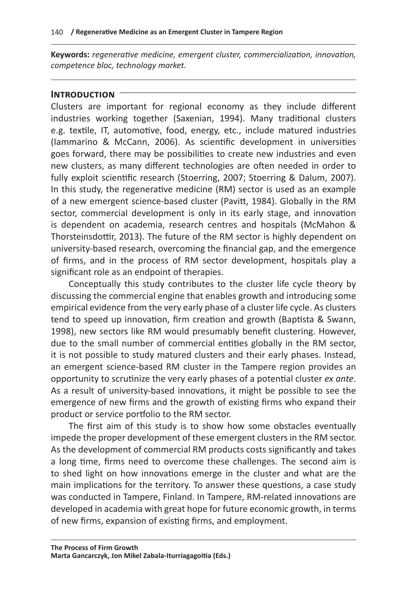**Keywords:** *regenerative medicine, emergent cluster, commercialization, innovation, competence bloc, technology market.*

#### **Introduction**

Clusters are important for regional economy as they include different industries working together (Saxenian, 1994). Many traditional clusters e.g. textile, IT, automotive, food, energy, etc., include matured industries (Iammarino & McCann, 2006). As scientific development in universities goes forward, there may be possibilities to create new industries and even new clusters, as many different technologies are often needed in order to fully exploit scientific research (Stoerring, 2007; Stoerring & Dalum, 2007). In this study, the regenerative medicine (RM) sector is used as an example of a new emergent science-based cluster (Pavitt, 1984). Globally in the RM sector, commercial development is only in its early stage, and innovation is dependent on academia, research centres and hospitals (McMahon & Thorsteinsdottir, 2013). The future of the RM sector is highly dependent on university-based research, overcoming the financial gap, and the emergence of firms, and in the process of RM sector development, hospitals play a significant role as an endpoint of therapies.

Conceptually this study contributes to the cluster life cycle theory by discussing the commercial engine that enables growth and introducing some empirical evidence from the very early phase of a cluster life cycle. As clusters tend to speed up innovation, firm creation and growth (Baptista & Swann, 1998), new sectors like RM would presumably benefit clustering. However, due to the small number of commercial entities globally in the RM sector, it is not possible to study matured clusters and their early phases. Instead, an emergent science-based RM cluster in the Tampere region provides an opportunity to scrutinize the very early phases of a potential cluster *ex ante*. As a result of university-based innovations, it might be possible to see the emergence of new firms and the growth of existing firms who expand their product or service portfolio to the RM sector.

The first aim of this study is to show how some obstacles eventually impede the proper development of these emergent clusters in the RM sector. As the development of commercial RM products costs significantly and takes a long time, firms need to overcome these challenges. The second aim is to shed light on how innovations emerge in the cluster and what are the main implications for the territory. To answer these questions, a case study was conducted in Tampere, Finland. In Tampere, RM-related innovations are developed in academia with great hope for future economic growth, in terms of new firms, expansion of existing firms, and employment.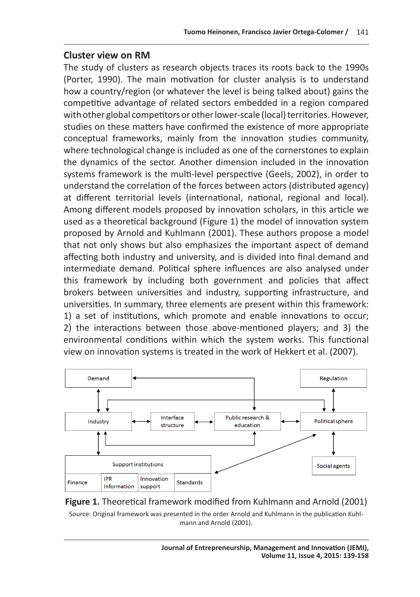#### **Cluster view on RM**

The study of clusters as research objects traces its roots back to the 1990s (Porter, 1990). The main motivation for cluster analysis is to understand how a country/region (or whatever the level is being talked about) gains the competitive advantage of related sectors embedded in a region compared with other global competitors or other lower-scale (local) territories. However, studies on these matters have confirmed the existence of more appropriate conceptual frameworks, mainly from the innovation studies community, where technological change is included as one of the cornerstones to explain the dynamics of the sector. Another dimension included in the innovation systems framework is the multi-level perspective (Geels, 2002), in order to understand the correlation of the forces between actors (distributed agency) at different territorial levels (international, national, regional and local). Among different models proposed by innovation scholars, in this article we used as a theoretical background (Figure 1) the model of innovation system proposed by Arnold and Kuhlmann (2001). These authors propose a model that not only shows but also emphasizes the important aspect of demand affecting both industry and university, and is divided into final demand and intermediate demand. Political sphere influences are also analysed under this framework by including both government and policies that affect brokers between universities and industry, supporting infrastructure, and universities. In summary, three elements are present within this framework: 1) a set of institutions, which promote and enable innovations to occur; 2) the interactions between those above-mentioned players; and 3) the environmental conditions within which the system works. This functional view on innovation systems is treated in the work of Hekkert et al. (2007).





Source: Original framework was presented in the order Arnold and Kuhlmann in the publication Kuhlmann and Arnold (2001).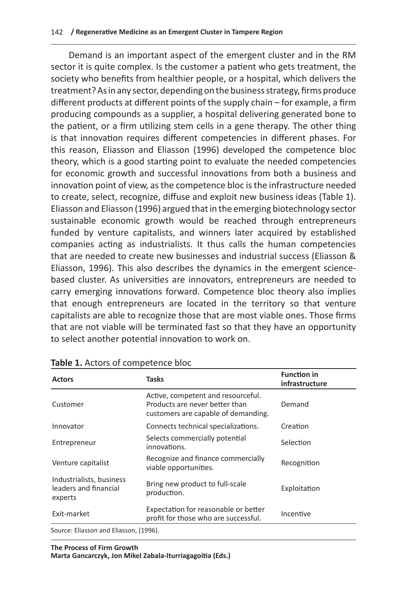Demand is an important aspect of the emergent cluster and in the RM sector it is quite complex. Is the customer a patient who gets treatment, the society who benefits from healthier people, or a hospital, which delivers the treatment? As in any sector, depending on the business strategy, firms produce different products at different points of the supply chain – for example, a firm producing compounds as a supplier, a hospital delivering generated bone to the patient, or a firm utilizing stem cells in a gene therapy. The other thing is that innovation requires different competencies in different phases. For this reason, Eliasson and Eliasson (1996) developed the competence bloc theory, which is a good starting point to evaluate the needed competencies for economic growth and successful innovations from both a business and innovation point of view, as the competence bloc is the infrastructure needed to create, select, recognize, diffuse and exploit new business ideas (Table 1). Eliasson and Eliasson (1996) argued that in the emerging biotechnology sector sustainable economic growth would be reached through entrepreneurs funded by venture capitalists, and winners later acquired by established companies acting as industrialists. It thus calls the human competencies that are needed to create new businesses and industrial success (Eliasson & Eliasson, 1996). This also describes the dynamics in the emergent sciencebased cluster. As universities are innovators, entrepreneurs are needed to carry emerging innovations forward. Competence bloc theory also implies that enough entrepreneurs are located in the territory so that venture capitalists are able to recognize those that are most viable ones. Those firms that are not viable will be terminated fast so that they have an opportunity to select another potential innovation to work on.

| <b>Actors</b>                                                | <b>Tasks</b>                                                                                                | <b>Function in</b><br>infrastructure |  |  |
|--------------------------------------------------------------|-------------------------------------------------------------------------------------------------------------|--------------------------------------|--|--|
| Customer                                                     | Active, competent and resourceful.<br>Products are never better than<br>customers are capable of demanding. | Demand                               |  |  |
| Innovator                                                    | Connects technical specializations.                                                                         | Creation                             |  |  |
| Entrepreneur                                                 | Selects commercially potential<br>innovations.                                                              | Selection                            |  |  |
| Venture capitalist                                           | Recognize and finance commercially<br>viable opportunities.                                                 | Recognition                          |  |  |
| Industrialists, business<br>leaders and financial<br>experts | Bring new product to full-scale<br>production.                                                              | Exploitation                         |  |  |
| Exit-market                                                  | Expectation for reasonable or better<br>profit for those who are successful.                                | Incentive                            |  |  |
| Source: Eliasson and Eliasson. (1996).                       |                                                                                                             |                                      |  |  |

#### **Table 1.** Actors of competence bloc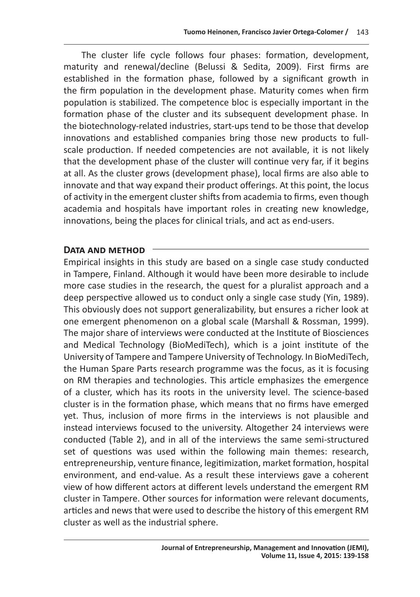The cluster life cycle follows four phases: formation, development, maturity and renewal/decline (Belussi & Sedita, 2009). First firms are established in the formation phase, followed by a significant growth in the firm population in the development phase. Maturity comes when firm population is stabilized. The competence bloc is especially important in the formation phase of the cluster and its subsequent development phase. In the biotechnology-related industries, start-ups tend to be those that develop innovations and established companies bring those new products to fullscale production. If needed competencies are not available, it is not likely that the development phase of the cluster will continue very far, if it begins at all. As the cluster grows (development phase), local firms are also able to innovate and that way expand their product offerings. At this point, the locus of activity in the emergent cluster shifts from academia to firms, even though academia and hospitals have important roles in creating new knowledge, innovations, being the places for clinical trials, and act as end-users.

#### **Data and method**

Empirical insights in this study are based on a single case study conducted in Tampere, Finland. Although it would have been more desirable to include more case studies in the research, the quest for a pluralist approach and a deep perspective allowed us to conduct only a single case study (Yin, 1989). This obviously does not support generalizability, but ensures a richer look at one emergent phenomenon on a global scale (Marshall & Rossman, 1999). The major share of interviews were conducted at the Institute of Biosciences and Medical Technology (BioMediTech), which is a joint institute of the University of Tampere and Tampere University of Technology. In BioMediTech, the Human Spare Parts research programme was the focus, as it is focusing on RM therapies and technologies. This article emphasizes the emergence of a cluster, which has its roots in the university level. The science-based cluster is in the formation phase, which means that no firms have emerged yet. Thus, inclusion of more firms in the interviews is not plausible and instead interviews focused to the university. Altogether 24 interviews were conducted (Table 2), and in all of the interviews the same semi-structured set of questions was used within the following main themes: research, entrepreneurship, venture finance, legitimization, market formation, hospital environment, and end-value. As a result these interviews gave a coherent view of how different actors at different levels understand the emergent RM cluster in Tampere. Other sources for information were relevant documents, articles and news that were used to describe the history of this emergent RM cluster as well as the industrial sphere.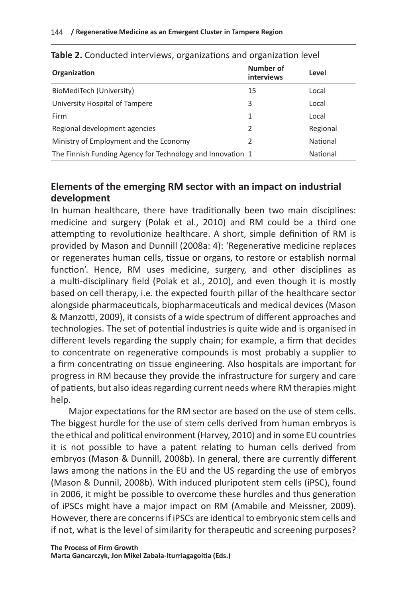| <b>Table 2.</b> Conducted interviews, organizations and organization level<br>Organization | Number of<br><b>interviews</b> | Level    |
|--------------------------------------------------------------------------------------------|--------------------------------|----------|
| BioMediTech (University)                                                                   | 15                             | Local    |
| University Hospital of Tampere                                                             | 3                              | Local    |
| Firm                                                                                       | 1                              | Local    |
| Regional development agencies                                                              | 2                              | Regional |
| Ministry of Employment and the Economy                                                     | 2                              | National |
| The Finnish Funding Agency for Technology and Innovation 1                                 |                                | National |

## **Elements of the emerging RM sector with an impact on industrial development**

In human healthcare, there have traditionally been two main disciplines: medicine and surgery (Polak et al., 2010) and RM could be a third one attempting to revolutionize healthcare. A short, simple definition of RM is provided by Mason and Dunnill (2008a: 4): 'Regenerative medicine replaces or regenerates human cells, tissue or organs, to restore or establish normal function'. Hence, RM uses medicine, surgery, and other disciplines as a multi-disciplinary field (Polak et al., 2010), and even though it is mostly based on cell therapy, i.e. the expected fourth pillar of the healthcare sector alongside pharmaceuticals, biopharmaceuticals and medical devices (Mason & Manzotti, 2009), it consists of a wide spectrum of different approaches and technologies. The set of potential industries is quite wide and is organised in different levels regarding the supply chain; for example, a firm that decides to concentrate on regenerative compounds is most probably a supplier to a firm concentrating on tissue engineering. Also hospitals are important for progress in RM because they provide the infrastructure for surgery and care of patients, but also ideas regarding current needs where RM therapies might help.

Major expectations for the RM sector are based on the use of stem cells. The biggest hurdle for the use of stem cells derived from human embryos is the ethical and political environment (Harvey, 2010) and in some EU countries it is not possible to have a patent relating to human cells derived from embryos (Mason & Dunnill, 2008b). In general, there are currently different laws among the nations in the EU and the US regarding the use of embryos (Mason & Dunnil, 2008b). With induced pluripotent stem cells (iPSC), found in 2006, it might be possible to overcome these hurdles and thus generation of iPSCs might have a major impact on RM (Amabile and Meissner, 2009). However, there are concerns if iPSCs are identical to embryonic stem cells and if not, what is the level of similarity for therapeutic and screening purposes?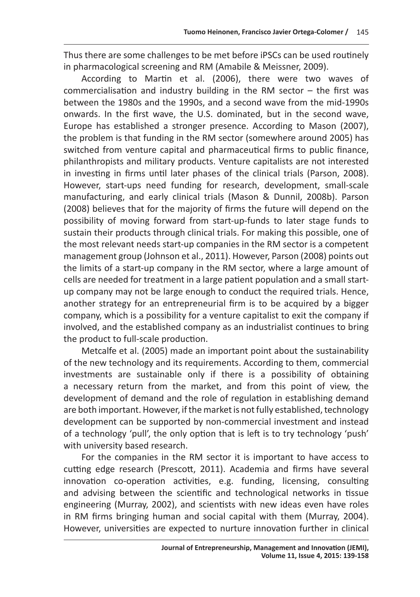Thus there are some challenges to be met before iPSCs can be used routinely in pharmacological screening and RM (Amabile & Meissner, 2009).

According to Martin et al. (2006), there were two waves of commercialisation and industry building in the RM sector – the first was between the 1980s and the 1990s, and a second wave from the mid-1990s onwards. In the first wave, the U.S. dominated, but in the second wave, Europe has established a stronger presence. According to Mason (2007), the problem is that funding in the RM sector (somewhere around 2005) has switched from venture capital and pharmaceutical firms to public finance, philanthropists and military products. Venture capitalists are not interested in investing in firms until later phases of the clinical trials (Parson, 2008). However, start-ups need funding for research, development, small-scale manufacturing, and early clinical trials (Mason & Dunnil, 2008b). Parson (2008) believes that for the majority of firms the future will depend on the possibility of moving forward from start-up-funds to later stage funds to sustain their products through clinical trials. For making this possible, one of the most relevant needs start-up companies in the RM sector is a competent management group (Johnson et al., 2011). However, Parson (2008) points out the limits of a start-up company in the RM sector, where a large amount of cells are needed for treatment in a large patient population and a small startup company may not be large enough to conduct the required trials. Hence, another strategy for an entrepreneurial firm is to be acquired by a bigger company, which is a possibility for a venture capitalist to exit the company if involved, and the established company as an industrialist continues to bring the product to full-scale production.

Metcalfe et al. (2005) made an important point about the sustainability of the new technology and its requirements. According to them, commercial investments are sustainable only if there is a possibility of obtaining a necessary return from the market, and from this point of view, the development of demand and the role of regulation in establishing demand are both important. However, if the market is not fully established, technology development can be supported by non-commercial investment and instead of a technology 'pull', the only option that is left is to try technology 'push' with university based research.

For the companies in the RM sector it is important to have access to cutting edge research (Prescott, 2011). Academia and firms have several innovation co-operation activities, e.g. funding, licensing, consulting and advising between the scientific and technological networks in tissue engineering (Murray, 2002), and scientists with new ideas even have roles in RM firms bringing human and social capital with them (Murray, 2004). However, universities are expected to nurture innovation further in clinical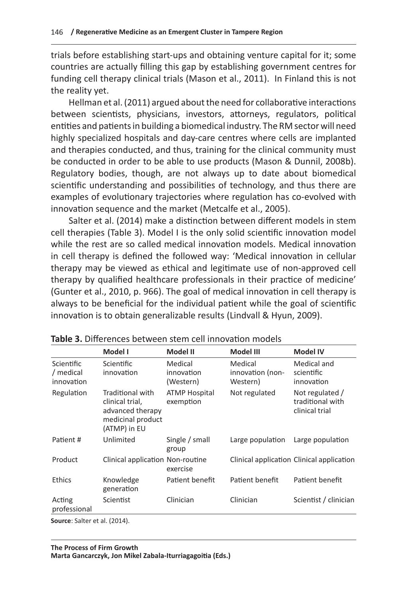trials before establishing start-ups and obtaining venture capital for it; some countries are actually filling this gap by establishing government centres for funding cell therapy clinical trials (Mason et al., 2011). In Finland this is not the reality yet.

Hellman et al. (2011) argued about the need for collaborative interactions between scientists, physicians, investors, attorneys, regulators, political entities and patients in building a biomedical industry. The RM sector will need highly specialized hospitals and day-care centres where cells are implanted and therapies conducted, and thus, training for the clinical community must be conducted in order to be able to use products (Mason & Dunnil, 2008b). Regulatory bodies, though, are not always up to date about biomedical scientific understanding and possibilities of technology, and thus there are examples of evolutionary trajectories where regulation has co-evolved with innovation sequence and the market (Metcalfe et al., 2005).

Salter et al. (2014) make a distinction between different models in stem cell therapies (Table 3). Model I is the only solid scientific innovation model while the rest are so called medical innovation models. Medical innovation in cell therapy is defined the followed way: 'Medical innovation in cellular therapy may be viewed as ethical and legitimate use of non-approved cell therapy by qualified healthcare professionals in their practice of medicine' (Gunter et al., 2010, p. 966). The goal of medical innovation in cell therapy is always to be beneficial for the individual patient while the goal of scientific innovation is to obtain generalizable results (Lindvall & Hyun, 2009).

|                                                                                                                                                                                                                                                                                                                                                                                         | Model I                                                                                      | Model II                           | Model III                               | <b>Model IV</b>                                       |
|-----------------------------------------------------------------------------------------------------------------------------------------------------------------------------------------------------------------------------------------------------------------------------------------------------------------------------------------------------------------------------------------|----------------------------------------------------------------------------------------------|------------------------------------|-----------------------------------------|-------------------------------------------------------|
| Scientific<br>/ medical<br>innovation                                                                                                                                                                                                                                                                                                                                                   | <b>Scientific</b><br>innovation                                                              | Medical<br>innovation<br>(Western) | Medical<br>innovation (non-<br>Western) | Medical and<br>scientific<br>innovation               |
| Regulation                                                                                                                                                                                                                                                                                                                                                                              | Traditional with<br>clinical trial,<br>advanced therapy<br>medicinal product<br>(ATMP) in EU | <b>ATMP Hospital</b><br>exemption  | Not regulated                           | Not regulated /<br>traditional with<br>clinical trial |
| Patient #                                                                                                                                                                                                                                                                                                                                                                               | Unlimited                                                                                    | Single / small<br>group            | Large population                        | Large population                                      |
| Product                                                                                                                                                                                                                                                                                                                                                                                 | Clinical application Non-routine                                                             | exercise                           |                                         | Clinical application Clinical application             |
| Ethics                                                                                                                                                                                                                                                                                                                                                                                  | Knowledge<br>generation                                                                      | Patient benefit                    | Patient benefit                         | Patient benefit                                       |
| Acting<br>professional                                                                                                                                                                                                                                                                                                                                                                  | Scientist                                                                                    | Clinician                          | Clinician                               | Scientist / clinician                                 |
| $C_{\text{a}1}$ $\ldots$ $C_{\text{a}}$ $\downarrow$ $C_{\text{a}}$ $\downarrow$ $C_{\text{a}}$ $\downarrow$ $C_{\text{a}}$ $\downarrow$ $C_{\text{a}}$ $\downarrow$ $C_{\text{a}}$ $\downarrow$ $C_{\text{a}}$ $\downarrow$ $C_{\text{a}}$ $\downarrow$ $C_{\text{a}}$ $\downarrow$ $C_{\text{a}}$ $\downarrow$ $C_{\text{a}}$ $\downarrow$ $C_{\text{a}}$ $\downarrow$ $C_{\text{a}}$ |                                                                                              |                                    |                                         |                                                       |

**Table 3.** Differences between stem cell innovation models

**Source**: Salter et al. (2014).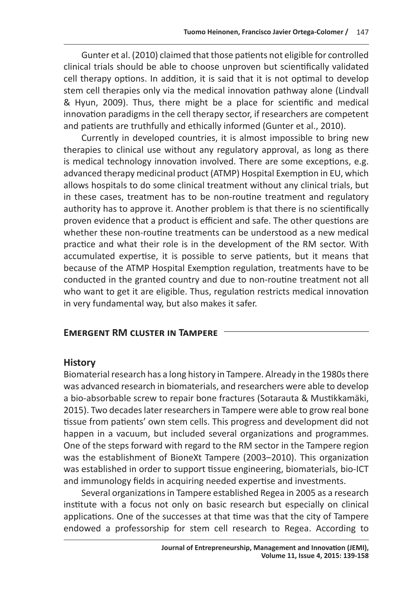Gunter et al. (2010) claimed that those patients not eligible for controlled clinical trials should be able to choose unproven but scientifically validated cell therapy options. In addition, it is said that it is not optimal to develop stem cell therapies only via the medical innovation pathway alone (Lindvall & Hyun, 2009). Thus, there might be a place for scientific and medical innovation paradigms in the cell therapy sector, if researchers are competent and patients are truthfully and ethically informed (Gunter et al., 2010).

Currently in developed countries, it is almost impossible to bring new therapies to clinical use without any regulatory approval, as long as there is medical technology innovation involved. There are some exceptions, e.g. advanced therapy medicinal product (ATMP) Hospital Exemption in EU, which allows hospitals to do some clinical treatment without any clinical trials, but in these cases, treatment has to be non-routine treatment and regulatory authority has to approve it. Another problem is that there is no scientifically proven evidence that a product is efficient and safe. The other questions are whether these non-routine treatments can be understood as a new medical practice and what their role is in the development of the RM sector. With accumulated expertise, it is possible to serve patients, but it means that because of the ATMP Hospital Exemption regulation, treatments have to be conducted in the granted country and due to non-routine treatment not all who want to get it are eligible. Thus, regulation restricts medical innovation in very fundamental way, but also makes it safer.

#### **Emergent RM cluster in Tampere**

#### **History**

Biomaterial research has a long history in Tampere. Already in the 1980s there was advanced research in biomaterials, and researchers were able to develop a bio-absorbable screw to repair bone fractures (Sotarauta & Mustikkamäki, 2015). Two decades later researchers in Tampere were able to grow real bone tissue from patients' own stem cells. This progress and development did not happen in a vacuum, but included several organizations and programmes. One of the steps forward with regard to the RM sector in the Tampere region was the establishment of BioneXt Tampere (2003–2010). This organization was established in order to support tissue engineering, biomaterials, bio-ICT and immunology fields in acquiring needed expertise and investments.

Several organizations in Tampere established Regea in 2005 as a research institute with a focus not only on basic research but especially on clinical applications. One of the successes at that time was that the city of Tampere endowed a professorship for stem cell research to Regea. According to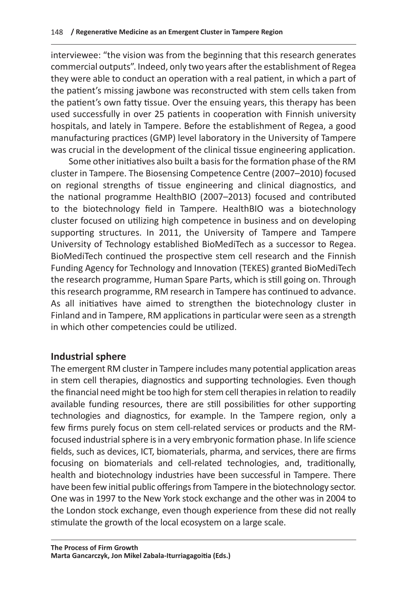interviewee: "the vision was from the beginning that this research generates commercial outputs". Indeed, only two years after the establishment of Regea they were able to conduct an operation with a real patient, in which a part of the patient's missing jawbone was reconstructed with stem cells taken from the patient's own fatty tissue. Over the ensuing years, this therapy has been used successfully in over 25 patients in cooperation with Finnish university hospitals, and lately in Tampere. Before the establishment of Regea, a good manufacturing practices (GMP) level laboratory in the University of Tampere was crucial in the development of the clinical tissue engineering application.

Some other initiatives also built a basis for the formation phase of the RM cluster in Tampere. The Biosensing Competence Centre (2007–2010) focused on regional strengths of tissue engineering and clinical diagnostics, and the national programme HealthBIO (2007–2013) focused and contributed to the biotechnology field in Tampere. HealthBIO was a biotechnology cluster focused on utilizing high competence in business and on developing supporting structures. In 2011, the University of Tampere and Tampere University of Technology established BioMediTech as a successor to Regea. BioMediTech continued the prospective stem cell research and the Finnish Funding Agency for Technology and Innovation (TEKES) granted BioMediTech the research programme, Human Spare Parts, which is still going on. Through this research programme, RM research in Tampere has continued to advance. As all initiatives have aimed to strengthen the biotechnology cluster in Finland and in Tampere, RM applications in particular were seen as a strength in which other competencies could be utilized.

## **Industrial sphere**

The emergent RM cluster in Tampere includes many potential application areas in stem cell therapies, diagnostics and supporting technologies. Even though the financial need might be too high for stem cell therapies in relation to readily available funding resources, there are still possibilities for other supporting technologies and diagnostics, for example. In the Tampere region, only a few firms purely focus on stem cell-related services or products and the RMfocused industrial sphere is in a very embryonic formation phase. In life science fields, such as devices, ICT, biomaterials, pharma, and services, there are firms focusing on biomaterials and cell-related technologies, and, traditionally, health and biotechnology industries have been successful in Tampere. There have been few initial public offerings from Tampere in the biotechnology sector. One was in 1997 to the New York stock exchange and the other was in 2004 to the London stock exchange, even though experience from these did not really stimulate the growth of the local ecosystem on a large scale.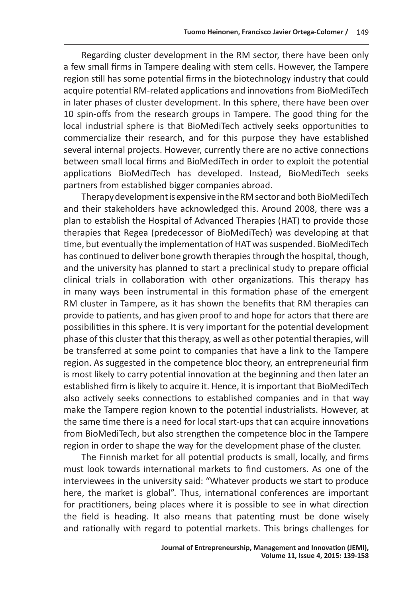Regarding cluster development in the RM sector, there have been only a few small firms in Tampere dealing with stem cells. However, the Tampere region still has some potential firms in the biotechnology industry that could acquire potential RM-related applications and innovations from BioMediTech in later phases of cluster development. In this sphere, there have been over 10 spin-offs from the research groups in Tampere. The good thing for the local industrial sphere is that BioMediTech actively seeks opportunities to commercialize their research, and for this purpose they have established several internal projects. However, currently there are no active connections between small local firms and BioMediTech in order to exploit the potential applications BioMediTech has developed. Instead, BioMediTech seeks partners from established bigger companies abroad.

Therapy development is expensive in the RM sector and both BioMediTech and their stakeholders have acknowledged this. Around 2008, there was a plan to establish the Hospital of Advanced Therapies (HAT) to provide those therapies that Regea (predecessor of BioMediTech) was developing at that time, but eventually the implementation of HAT was suspended. BioMediTech has continued to deliver bone growth therapies through the hospital, though, and the university has planned to start a preclinical study to prepare official clinical trials in collaboration with other organizations. This therapy has in many ways been instrumental in this formation phase of the emergent RM cluster in Tampere, as it has shown the benefits that RM therapies can provide to patients, and has given proof to and hope for actors that there are possibilities in this sphere. It is very important for the potential development phase of this cluster that this therapy, as well as other potential therapies, will be transferred at some point to companies that have a link to the Tampere region. As suggested in the competence bloc theory, an entrepreneurial firm is most likely to carry potential innovation at the beginning and then later an established firm is likely to acquire it. Hence, it is important that BioMediTech also actively seeks connections to established companies and in that way make the Tampere region known to the potential industrialists. However, at the same time there is a need for local start-ups that can acquire innovations from BioMediTech, but also strengthen the competence bloc in the Tampere region in order to shape the way for the development phase of the cluster.

The Finnish market for all potential products is small, locally, and firms must look towards international markets to find customers. As one of the interviewees in the university said: "Whatever products we start to produce here, the market is global". Thus, international conferences are important for practitioners, being places where it is possible to see in what direction the field is heading. It also means that patenting must be done wisely and rationally with regard to potential markets. This brings challenges for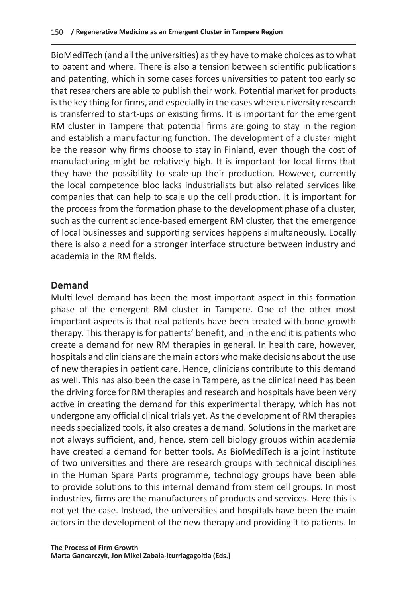BioMediTech (and all the universities) as they have to make choices as to what to patent and where. There is also a tension between scientific publications and patenting, which in some cases forces universities to patent too early so that researchers are able to publish their work. Potential market for products is the key thing for firms, and especially in the cases where university research is transferred to start-ups or existing firms. It is important for the emergent RM cluster in Tampere that potential firms are going to stay in the region and establish a manufacturing function. The development of a cluster might be the reason why firms choose to stay in Finland, even though the cost of manufacturing might be relatively high. It is important for local firms that they have the possibility to scale-up their production. However, currently the local competence bloc lacks industrialists but also related services like companies that can help to scale up the cell production. It is important for the process from the formation phase to the development phase of a cluster, such as the current science-based emergent RM cluster, that the emergence of local businesses and supporting services happens simultaneously. Locally there is also a need for a stronger interface structure between industry and academia in the RM fields.

## **Demand**

Multi-level demand has been the most important aspect in this formation phase of the emergent RM cluster in Tampere. One of the other most important aspects is that real patients have been treated with bone growth therapy. This therapy is for patients' benefit, and in the end it is patients who create a demand for new RM therapies in general. In health care, however, hospitals and clinicians are the main actors who make decisions about the use of new therapies in patient care. Hence, clinicians contribute to this demand as well. This has also been the case in Tampere, as the clinical need has been the driving force for RM therapies and research and hospitals have been very active in creating the demand for this experimental therapy, which has not undergone any official clinical trials yet. As the development of RM therapies needs specialized tools, it also creates a demand. Solutions in the market are not always sufficient, and, hence, stem cell biology groups within academia have created a demand for better tools. As BioMediTech is a joint institute of two universities and there are research groups with technical disciplines in the Human Spare Parts programme, technology groups have been able to provide solutions to this internal demand from stem cell groups. In most industries, firms are the manufacturers of products and services. Here this is not yet the case. Instead, the universities and hospitals have been the main actors in the development of the new therapy and providing it to patients. In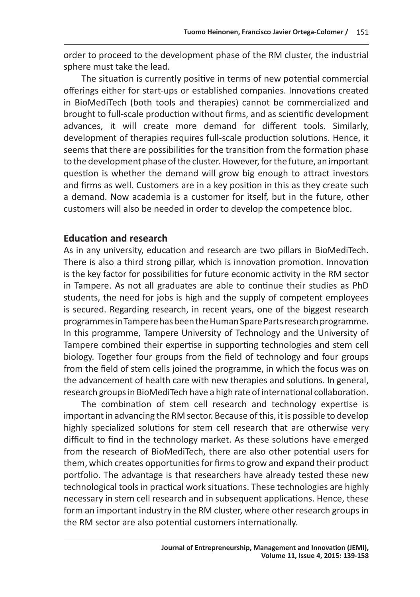order to proceed to the development phase of the RM cluster, the industrial sphere must take the lead.

The situation is currently positive in terms of new potential commercial offerings either for start-ups or established companies. Innovations created in BioMediTech (both tools and therapies) cannot be commercialized and brought to full-scale production without firms, and as scientific development advances, it will create more demand for different tools. Similarly, development of therapies requires full-scale production solutions. Hence, it seems that there are possibilities for the transition from the formation phase to the development phase of the cluster. However, for the future, an important question is whether the demand will grow big enough to attract investors and firms as well. Customers are in a key position in this as they create such a demand. Now academia is a customer for itself, but in the future, other customers will also be needed in order to develop the competence bloc.

## **Education and research**

As in any university, education and research are two pillars in BioMediTech. There is also a third strong pillar, which is innovation promotion. Innovation is the key factor for possibilities for future economic activity in the RM sector in Tampere. As not all graduates are able to continue their studies as PhD students, the need for jobs is high and the supply of competent employees is secured. Regarding research, in recent years, one of the biggest research programmes in Tampere has been the Human Spare Parts research programme. In this programme, Tampere University of Technology and the University of Tampere combined their expertise in supporting technologies and stem cell biology. Together four groups from the field of technology and four groups from the field of stem cells joined the programme, in which the focus was on the advancement of health care with new therapies and solutions. In general, research groups in BioMediTech have a high rate of international collaboration.

The combination of stem cell research and technology expertise is important in advancing the RM sector. Because of this, it is possible to develop highly specialized solutions for stem cell research that are otherwise very difficult to find in the technology market. As these solutions have emerged from the research of BioMediTech, there are also other potential users for them, which creates opportunities for firms to grow and expand their product portfolio. The advantage is that researchers have already tested these new technological tools in practical work situations. These technologies are highly necessary in stem cell research and in subsequent applications. Hence, these form an important industry in the RM cluster, where other research groups in the RM sector are also potential customers internationally.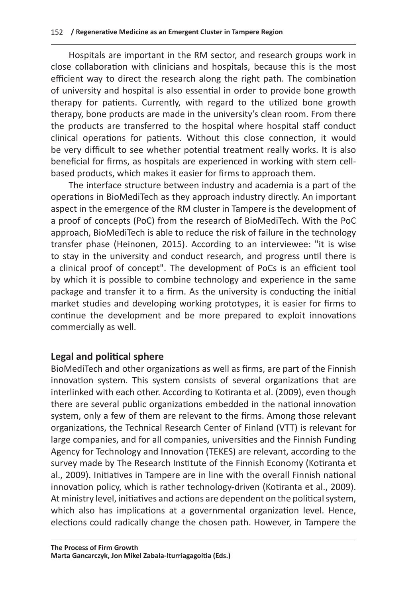Hospitals are important in the RM sector, and research groups work in close collaboration with clinicians and hospitals, because this is the most efficient way to direct the research along the right path. The combination of university and hospital is also essential in order to provide bone growth therapy for patients. Currently, with regard to the utilized bone growth therapy, bone products are made in the university's clean room. From there the products are transferred to the hospital where hospital staff conduct clinical operations for patients. Without this close connection, it would be very difficult to see whether potential treatment really works. It is also beneficial for firms, as hospitals are experienced in working with stem cellbased products, which makes it easier for firms to approach them.

The interface structure between industry and academia is a part of the operations in BioMediTech as they approach industry directly. An important aspect in the emergence of the RM cluster in Tampere is the development of a proof of concepts (PoC) from the research of BioMediTech. With the PoC approach, BioMediTech is able to reduce the risk of failure in the technology transfer phase (Heinonen, 2015). According to an interviewee: "it is wise to stay in the university and conduct research, and progress until there is a clinical proof of concept". The development of PoCs is an efficient tool by which it is possible to combine technology and experience in the same package and transfer it to a firm. As the university is conducting the initial market studies and developing working prototypes, it is easier for firms to continue the development and be more prepared to exploit innovations commercially as well.

#### **Legal and political sphere**

BioMediTech and other organizations as well as firms, are part of the Finnish innovation system. This system consists of several organizations that are interlinked with each other. According to Kotiranta et al. (2009), even though there are several public organizations embedded in the national innovation system, only a few of them are relevant to the firms. Among those relevant organizations, the Technical Research Center of Finland (VTT) is relevant for large companies, and for all companies, universities and the Finnish Funding Agency for Technology and Innovation (TEKES) are relevant, according to the survey made by The Research Institute of the Finnish Economy (Kotiranta et al., 2009). Initiatives in Tampere are in line with the overall Finnish national innovation policy, which is rather technology-driven (Kotiranta et al., 2009). At ministry level, initiatives and actions are dependent on the political system, which also has implications at a governmental organization level. Hence, elections could radically change the chosen path. However, in Tampere the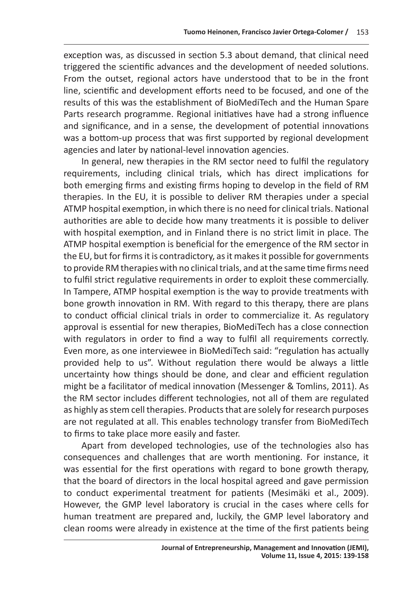exception was, as discussed in section 5.3 about demand, that clinical need triggered the scientific advances and the development of needed solutions. From the outset, regional actors have understood that to be in the front line, scientific and development efforts need to be focused, and one of the results of this was the establishment of BioMediTech and the Human Spare Parts research programme. Regional initiatives have had a strong influence and significance, and in a sense, the development of potential innovations was a bottom-up process that was first supported by regional development agencies and later by national-level innovation agencies.

In general, new therapies in the RM sector need to fulfil the regulatory requirements, including clinical trials, which has direct implications for both emerging firms and existing firms hoping to develop in the field of RM therapies. In the EU, it is possible to deliver RM therapies under a special ATMP hospital exemption, in which there is no need for clinical trials. National authorities are able to decide how many treatments it is possible to deliver with hospital exemption, and in Finland there is no strict limit in place. The ATMP hospital exemption is beneficial for the emergence of the RM sector in the EU, but for firms it is contradictory, as it makes it possible for governments to provide RM therapies with no clinical trials, and at the same time firms need to fulfil strict regulative requirements in order to exploit these commercially. In Tampere, ATMP hospital exemption is the way to provide treatments with bone growth innovation in RM. With regard to this therapy, there are plans to conduct official clinical trials in order to commercialize it. As regulatory approval is essential for new therapies, BioMediTech has a close connection with regulators in order to find a way to fulfil all requirements correctly. Even more, as one interviewee in BioMediTech said: "regulation has actually provided help to us". Without regulation there would be always a little uncertainty how things should be done, and clear and efficient regulation might be a facilitator of medical innovation (Messenger & Tomlins, 2011). As the RM sector includes different technologies, not all of them are regulated as highly as stem cell therapies. Products that are solely for research purposes are not regulated at all. This enables technology transfer from BioMediTech to firms to take place more easily and faster.

Apart from developed technologies, use of the technologies also has consequences and challenges that are worth mentioning. For instance, it was essential for the first operations with regard to bone growth therapy, that the board of directors in the local hospital agreed and gave permission to conduct experimental treatment for patients (Mesimäki et al., 2009). However, the GMP level laboratory is crucial in the cases where cells for human treatment are prepared and, luckily, the GMP level laboratory and clean rooms were already in existence at the time of the first patients being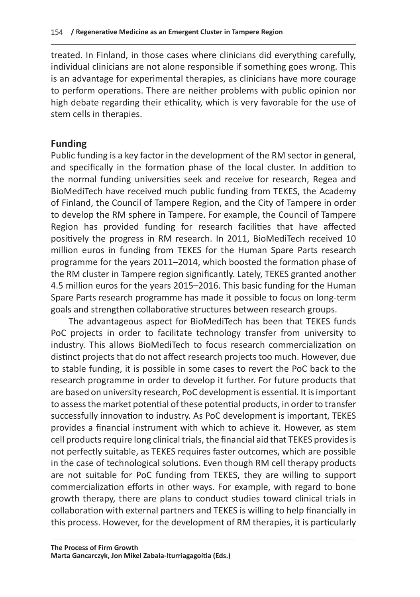treated. In Finland, in those cases where clinicians did everything carefully, individual clinicians are not alone responsible if something goes wrong. This is an advantage for experimental therapies, as clinicians have more courage to perform operations. There are neither problems with public opinion nor high debate regarding their ethicality, which is very favorable for the use of stem cells in therapies.

## **Funding**

Public funding is a key factor in the development of the RM sector in general, and specifically in the formation phase of the local cluster. In addition to the normal funding universities seek and receive for research, Regea and BioMediTech have received much public funding from TEKES, the Academy of Finland, the Council of Tampere Region, and the City of Tampere in order to develop the RM sphere in Tampere. For example, the Council of Tampere Region has provided funding for research facilities that have affected positively the progress in RM research. In 2011, BioMediTech received 10 million euros in funding from TEKES for the Human Spare Parts research programme for the years 2011–2014, which boosted the formation phase of the RM cluster in Tampere region significantly. Lately, TEKES granted another 4.5 million euros for the years 2015–2016. This basic funding for the Human Spare Parts research programme has made it possible to focus on long-term goals and strengthen collaborative structures between research groups.

The advantageous aspect for BioMediTech has been that TEKES funds PoC projects in order to facilitate technology transfer from university to industry. This allows BioMediTech to focus research commercialization on distinct projects that do not affect research projects too much. However, due to stable funding, it is possible in some cases to revert the PoC back to the research programme in order to develop it further. For future products that are based on university research, PoC development is essential. It is important to assess the market potential of these potential products, in order to transfer successfully innovation to industry. As PoC development is important, TEKES provides a financial instrument with which to achieve it. However, as stem cell products require long clinical trials, the financial aid that TEKES provides is not perfectly suitable, as TEKES requires faster outcomes, which are possible in the case of technological solutions. Even though RM cell therapy products are not suitable for PoC funding from TEKES, they are willing to support commercialization efforts in other ways. For example, with regard to bone growth therapy, there are plans to conduct studies toward clinical trials in collaboration with external partners and TEKES is willing to help financially in this process. However, for the development of RM therapies, it is particularly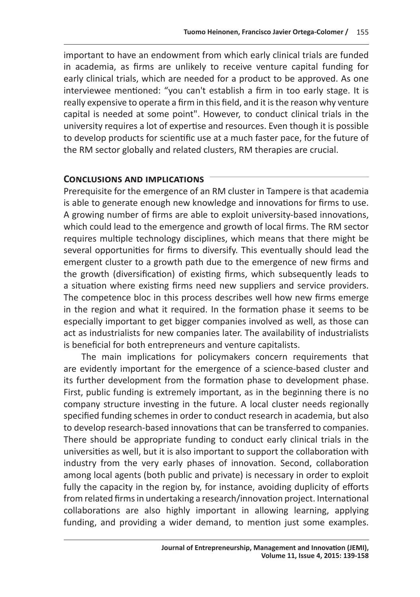important to have an endowment from which early clinical trials are funded in academia, as firms are unlikely to receive venture capital funding for early clinical trials, which are needed for a product to be approved. As one interviewee mentioned: "you can't establish a firm in too early stage. It is really expensive to operate a firm in this field, and it is the reason why venture capital is needed at some point". However, to conduct clinical trials in the university requires a lot of expertise and resources. Even though it is possible to develop products for scientific use at a much faster pace, for the future of the RM sector globally and related clusters, RM therapies are crucial.

#### **Conclusions and implications**

Prerequisite for the emergence of an RM cluster in Tampere is that academia is able to generate enough new knowledge and innovations for firms to use. A growing number of firms are able to exploit university-based innovations, which could lead to the emergence and growth of local firms. The RM sector requires multiple technology disciplines, which means that there might be several opportunities for firms to diversify. This eventually should lead the emergent cluster to a growth path due to the emergence of new firms and the growth (diversification) of existing firms, which subsequently leads to a situation where existing firms need new suppliers and service providers. The competence bloc in this process describes well how new firms emerge in the region and what it required. In the formation phase it seems to be especially important to get bigger companies involved as well, as those can act as industrialists for new companies later. The availability of industrialists is beneficial for both entrepreneurs and venture capitalists.

The main implications for policymakers concern requirements that are evidently important for the emergence of a science-based cluster and its further development from the formation phase to development phase. First, public funding is extremely important, as in the beginning there is no company structure investing in the future. A local cluster needs regionally specified funding schemes in order to conduct research in academia, but also to develop research-based innovations that can be transferred to companies. There should be appropriate funding to conduct early clinical trials in the universities as well, but it is also important to support the collaboration with industry from the very early phases of innovation. Second, collaboration among local agents (both public and private) is necessary in order to exploit fully the capacity in the region by, for instance, avoiding duplicity of efforts from related firms in undertaking a research/innovation project. International collaborations are also highly important in allowing learning, applying funding, and providing a wider demand, to mention just some examples.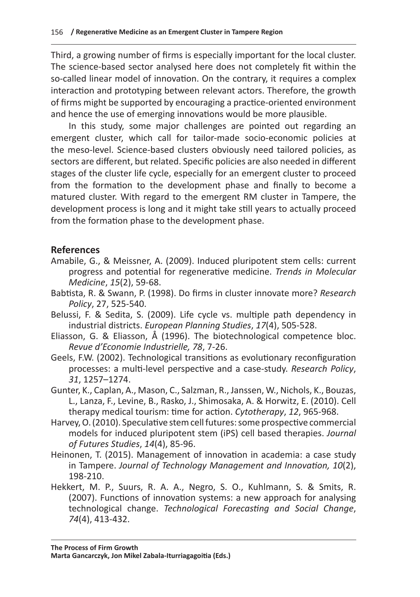Third, a growing number of firms is especially important for the local cluster. The science-based sector analysed here does not completely fit within the so-called linear model of innovation. On the contrary, it requires a complex interaction and prototyping between relevant actors. Therefore, the growth of firms might be supported by encouraging a practice-oriented environment and hence the use of emerging innovations would be more plausible.

In this study, some major challenges are pointed out regarding an emergent cluster, which call for tailor-made socio-economic policies at the meso-level. Science-based clusters obviously need tailored policies, as sectors are different, but related. Specific policies are also needed in different stages of the cluster life cycle, especially for an emergent cluster to proceed from the formation to the development phase and finally to become a matured cluster. With regard to the emergent RM cluster in Tampere, the development process is long and it might take still years to actually proceed from the formation phase to the development phase.

#### **References**

- Amabile, G., & Meissner, A. (2009). Induced pluripotent stem cells: current progress and potential for regenerative medicine. *Trends in Molecular Medicine*, *15*(2), 59-68.
- Babtista, R. & Swann, P. (1998). Do firms in cluster innovate more? *Research Policy*, 27, 525-540.
- Belussi, F. & Sedita, S. (2009). Life cycle vs. multiple path dependency in industrial districts. *European Planning Studies*, *17*(4), 505-528.
- Eliasson, G. & Eliasson, Å (1996). The biotechnological competence bloc. *Revue d'Economie Industrielle, 78*, 7-26.
- Geels, F.W. (2002). Technological transitions as evolutionary reconfiguration processes: a multi-level perspective and a case-study. *Research Policy*, *31*, 1257–1274.
- Gunter, K., Caplan, A., Mason, C., Salzman, R., Janssen, W., Nichols, K., Bouzas, L., Lanza, F., Levine, B., Rasko, J., Shimosaka, A. & Horwitz, E. (2010). Cell therapy medical tourism: time for action. *Cytotherapy*, *12*, 965-968.
- Harvey, O. (2010). Speculative stem cell futures: some prospective commercial models for induced pluripotent stem (iPS) cell based therapies. *Journal of Futures Studies*, *14*(4), 85-96.
- Heinonen, T. (2015). Management of innovation in academia: a case study in Tampere. *Journal of Technology Management and Innovation, 10*(2), 198-210.
- Hekkert, M. P., Suurs, R. A. A., Negro, S. O., Kuhlmann, S. & Smits, R. (2007). Functions of innovation systems: a new approach for analysing technological change. *Technological Forecasting and Social Change*, *74*(4), 413-432.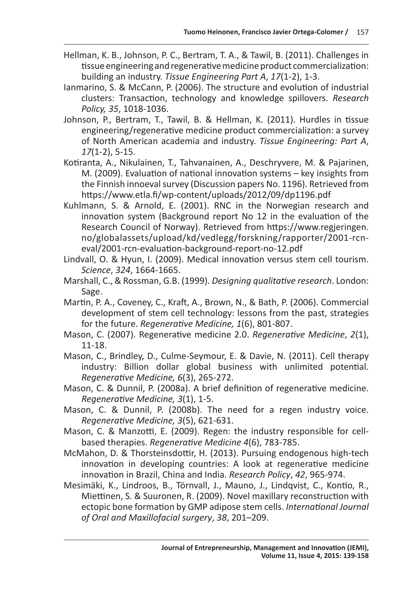- Hellman, K. B., Johnson, P. C., Bertram, T. A., & Tawil, B. (2011). Challenges in tissue engineering and regenerative medicine product commercialization: building an industry. *Tissue Engineering Part A*, *17*(1-2), 1-3.
- Ianmarino, S. & McCann, P. (2006). The structure and evolution of industrial clusters: Transaction, technology and knowledge spillovers. *Research Policy, 35*, 1018-1036.
- Johnson, P., Bertram, T., Tawil, B. & Hellman, K. (2011). Hurdles in tissue engineering/regenerative medicine product commercialization: a survey of North American academia and industry. *Tissue Engineering: Part A*, *17*(1-2), 5-15.
- Kotiranta, A., Nikulainen, T., Tahvanainen, A., Deschryvere, M. & Pajarinen, M. (2009). Evaluation of national innovation systems – key insights from the Finnish innoeval survey (Discussion papers No. 1196). Retrieved from https://www.etla.fi/wp-content/uploads/2012/09/dp1196.pdf
- Kuhlmann, S. & Arnold, E. (2001). RNC in the Norwegian research and innovation system (Background report No 12 in the evaluation of the Research Council of Norway). Retrieved from https://www.regjeringen. no/globalassets/upload/kd/vedlegg/forskning/rapporter/2001-rcneval/2001-rcn-evaluation-background-report-no-12.pdf
- Lindvall, O. & Hyun, I. (2009). Medical innovation versus stem cell tourism. *Science*, *324*, 1664-1665.
- Marshall, C., & Rossman, G.B. (1999). *Designing qualitative research*. London: Sage.
- Martin, P. A., Coveney, C., Kraft, A., Brown, N., & Bath, P. (2006). Commercial development of stem cell technology: lessons from the past, strategies for the future. *Regenerative Medicine, 1*(6), 801-807.
- Mason, C. (2007). Regenerative medicine 2.0. *Regenerative Medicine*, *2*(1), 11-18.
- Mason, C., Brindley, D., Culme-Seymour, E. & Davie, N. (2011). Cell therapy industry: Billion dollar global business with unlimited potential. *Regenerative Medicine, 6*(3), 265-272.
- Mason, C. & Dunnil, P. (2008a). A brief definition of regenerative medicine. *Regenerative Medicine, 3*(1), 1-5.
- Mason, C. & Dunnil, P. (2008b). The need for a regen industry voice. *Regenerative Medicine, 3*(5), 621-631.
- Mason, C. & Manzotti, E. (2009). Regen: the industry responsible for cellbased therapies. *Regenerative Medicine 4*(6), 783-785.
- McMahon, D. & Thorsteinsdottir, H. (2013). Pursuing endogenous high-tech innovation in developing countries: A look at regenerative medicine innovation in Brazil, China and India. *Research Policy*, *42*, 965-974.
- Mesimäki, K., Lindroos, B., Törnvall, J., Mauno, J., Lindqvist, C., Kontio, R., Miettinen, S. & Suuronen, R. (2009). Novel maxillary reconstruction with ectopic bone formation by GMP adipose stem cells. *International Journal of Oral and Maxillofacial surgery*, *38*, 201–209.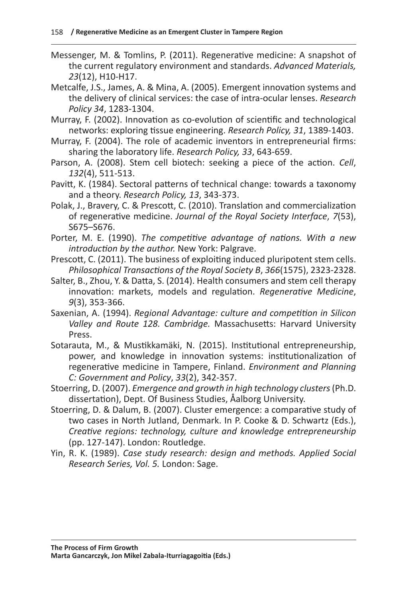- Messenger, M. & Tomlins, P. (2011). Regenerative medicine: A snapshot of the current regulatory environment and standards. *Advanced Materials, 23*(12), H10-H17.
- Metcalfe, J.S., James, A. & Mina, A. (2005). Emergent innovation systems and the delivery of clinical services: the case of intra-ocular lenses. *Research Policy 34*, 1283-1304.
- Murray, F. (2002). Innovation as co-evolution of scientific and technological networks: exploring tissue engineering. *Research Policy, 31*, 1389-1403.
- Murray, F. (2004). The role of academic inventors in entrepreneurial firms: sharing the laboratory life. *Research Policy, 33*, 643-659.
- Parson, A. (2008). Stem cell biotech: seeking a piece of the action. *Cell*, *132*(4), 511-513.
- Pavitt, K. (1984). Sectoral patterns of technical change: towards a taxonomy and a theory. *Research Policy, 13*, 343-373.
- Polak, J., Bravery, C. & Prescott, C. (2010). Translation and commercialization of regenerative medicine. *Journal of the Royal Society Interface*, *7*(53), S675–S676.
- Porter, M. E. (1990). *The competitive advantage of nations. With a new introduction by the author.* New York: Palgrave.

Prescott, C. (2011). The business of exploiting induced pluripotent stem cells. *Philosophical Transactions of the Royal Society B*, *366*(1575), 2323-2328.

- Salter, B., Zhou, Y. & Datta, S. (2014). Health consumers and stem cell therapy innovation: markets, models and regulation. *Regenerative Medicine*, *9*(3), 353-366.
- Saxenian, A. (1994). *Regional Advantage: culture and competition in Silicon Valley and Route 128. Cambridge.* Massachusetts: Harvard University Press.
- Sotarauta, M., & Mustikkamäki, N. (2015). Institutional entrepreneurship, power, and knowledge in innovation systems: institutionalization of regenerative medicine in Tampere, Finland. *Environment and Planning C: Government and Policy*, *33*(2), 342-357.
- Stoerring, D. (2007). *Emergence and growth in high technology clusters* (Ph.D. dissertation), Dept. Of Business Studies, Åalborg University.
- Stoerring, D. & Dalum, B. (2007). Cluster emergence: a comparative study of two cases in North Jutland, Denmark. In P. Cooke & D. Schwartz (Eds.), *Creative regions: technology, culture and knowledge entrepreneurship*  (pp. 127-147). London: Routledge.
- Yin, R. K. (1989). *Case study research: design and methods. Applied Social Research Series, Vol. 5.* London: Sage.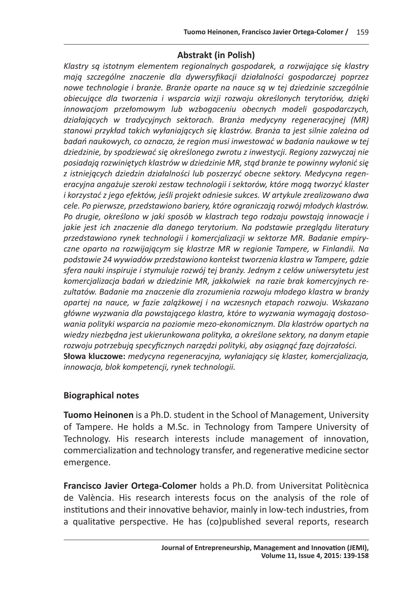#### **Abstrakt (in Polish)**

*Klastry są istotnym elementem regionalnych gospodarek, a rozwijające się klastry mają szczególne znaczenie dla dywersyfikacji działalności gospodarczej poprzez nowe technologie i branże. Branże oparte na nauce są w tej dziedzinie szczególnie obiecujące dla tworzenia i wsparcia wizji rozwoju określonych terytoriów, dzięki innowacjom przełomowym lub wzbogaceniu obecnych modeli gospodarczych, działających w tradycyjnych sektorach. Branża medycyny regeneracyjnej (MR) stanowi przykład takich wyłaniających się klastrów. Branża ta jest silnie zależna od badań naukowych, co oznacza, że region musi inwestować w badania naukowe w tej dziedzinie, by spodziewać się określonego zwrotu z inwestycji. Regiony zazwyczaj nie posiadają rozwiniętych klastrów w dziedzinie MR, stąd branże te powinny wyłonić się z istniejących dziedzin działalności lub poszerzyć obecne sektory. Medycyna regeneracyjna angażuje szeroki zestaw technologii i sektorów, które mogą tworzyć klaster i korzystać z jego efektów, jeśli projekt odniesie sukces. W artykule zrealizowano dwa cele. Po pierwsze, przedstawiono bariery, które ograniczają rozwój młodych klastrów. Po drugie, określono w jaki sposób w klastrach tego rodzaju powstają innowacje i jakie jest ich znaczenie dla danego terytorium. Na podstawie przeglądu literatury przedstawiono rynek technologii i komercjalizacji w sektorze MR. Badanie empiryczne oparto na rozwijającym się klastrze MR w regionie Tampere, w Finlandii. Na podstawie 24 wywiadów przedstawiono kontekst tworzenia klastra w Tampere, gdzie sfera nauki inspiruje i stymuluje rozwój tej branży. Jednym z celów uniwersytetu jest komercjalizacja badań w dziedzinie MR, jakkolwiek na razie brak komercyjnych rezultatów. Badanie ma znaczenie dla zrozumienia rozwoju młodego klastra w branży opartej na nauce, w fazie zalążkowej i na wczesnych etapach rozwoju. Wskazano główne wyzwania dla powstającego klastra, które to wyzwania wymagają dostosowania polityki wsparcia na poziomie mezo-ekonomicznym. Dla klastrów opartych na wiedzy niezbędna jest ukierunkowana polityka, a określone sektory, na danym etapie rozwoju potrzebują specyficznych narzędzi polityki, aby osiągnąć fazę dojrzałości.*  **Słowa kluczowe:** *medycyna regeneracyjna, wyłaniający się klaster, komercjalizacja, innowacja, blok kompetencji, rynek technologii.*

#### **Biographical notes**

**Tuomo Heinonen** is a Ph.D. student in the School of Management, University of Tampere. He holds a M.Sc. in Technology from Tampere University of Technology. His research interests include management of innovation, commercialization and technology transfer, and regenerative medicine sector emergence.

**Francisco Javier Ortega-Colomer** holds a Ph.D. from Universitat Politècnica de València. His research interests focus on the analysis of the role of institutions and their innovative behavior, mainly in low-tech industries, from a qualitative perspective. He has (co)published several reports, research